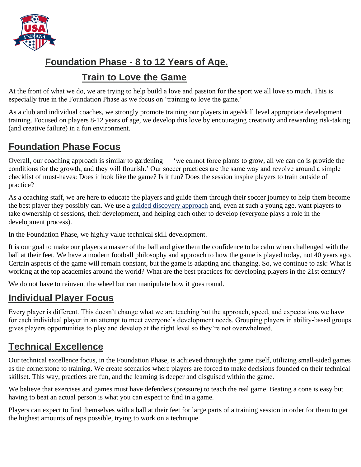

### **Foundation Phase - 8 to 12 Years of Age.**

#### **Train to Love the Game**

At the front of what we do, we are trying to help build a love and passion for the sport we all love so much. This is especially true in the Foundation Phase as we focus on 'training to love the game.'

As a club and individual coaches, we strongly promote training our players in age/skill level appropriate development training. Focused on players 8-12 years of age, we develop this love by encouraging creativity and rewarding risk-taking (and creative failure) in a fun environment.

# **Foundation Phase Focus**

Overall, our coaching approach is similar to gardening — 'we cannot force plants to grow, all we can do is provide the conditions for the growth, and they will flourish.' Our soccer practices are the same way and revolve around a simple checklist of must-haves: Does it look like the game? Is it fun? Does the session inspire players to train outside of practice?

As a coaching staff, we are here to educate the players and guide them through their soccer journey to help them become the best player they possibly can. We use a [guided discovery approach](https://www.soccertoday.com/sam-snow-improving-player-development-guided-discovery/) and, even at such a young age, want players to take ownership of sessions, their development, and helping each other to develop (everyone plays a role in the development process).

In the Foundation Phase, we highly value technical skill development.

It is our goal to make our players a master of the ball and give them the confidence to be calm when challenged with the ball at their feet. We have a modern football philosophy and approach to how the game is played today, not 40 years ago. Certain aspects of the game will remain constant, but the game is adapting and changing. So, we continue to ask: What is working at the top academies around the world? What are the best practices for developing players in the 21st century?

We do not have to reinvent the wheel but can manipulate how it goes round.

## **Individual Player Focus**

Every player is different. This doesn't change what we are teaching but the approach, speed, and expectations we have for each individual player in an attempt to meet everyone's development needs. Grouping players in ability-based groups gives players opportunities to play and develop at the right level so they're not overwhelmed.

## **Technical Excellence**

Our technical excellence focus, in the Foundation Phase, is achieved through the game itself, utilizing small-sided games as the cornerstone to training. We create scenarios where players are forced to make decisions founded on their technical skillset. This way, practices are fun, and the learning is deeper and disguised within the game.

We believe that exercises and games must have defenders (pressure) to teach the real game. Beating a cone is easy but having to beat an actual person is what you can expect to find in a game.

Players can expect to find themselves with a ball at their feet for large parts of a training session in order for them to get the highest amounts of reps possible, trying to work on a technique.